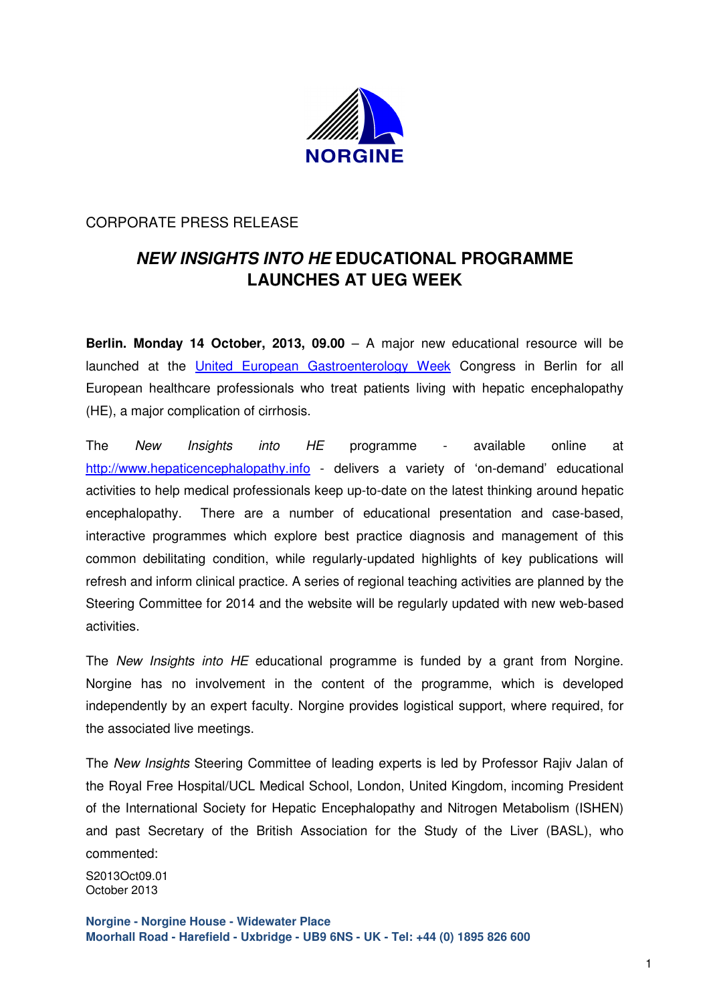

## CORPORATE PRESS RELEASE

# **NEW INSIGHTS INTO HE EDUCATIONAL PROGRAMME LAUNCHES AT UEG WEEK**

**Berlin. Monday 14 October, 2013, 09.00** – A major new educational resource will be launched at the United European Gastroenterology Week Congress in Berlin for all European healthcare professionals who treat patients living with hepatic encephalopathy (HE), a major complication of cirrhosis.

The New Insights into HE programme - available online at http://www.hepaticencephalopathy.info - delivers a variety of 'on-demand' educational activities to help medical professionals keep up-to-date on the latest thinking around hepatic encephalopathy. There are a number of educational presentation and case-based, interactive programmes which explore best practice diagnosis and management of this common debilitating condition, while regularly-updated highlights of key publications will refresh and inform clinical practice. A series of regional teaching activities are planned by the Steering Committee for 2014 and the website will be regularly updated with new web-based activities.

The New Insights into HE educational programme is funded by a grant from Norgine. Norgine has no involvement in the content of the programme, which is developed independently by an expert faculty. Norgine provides logistical support, where required, for the associated live meetings.

The New Insights Steering Committee of leading experts is led by Professor Rajiv Jalan of the Royal Free Hospital/UCL Medical School, London, United Kingdom, incoming President of the International Society for Hepatic Encephalopathy and Nitrogen Metabolism (ISHEN) and past Secretary of the British Association for the Study of the Liver (BASL), who commented:

S2013Oct09.01 October 2013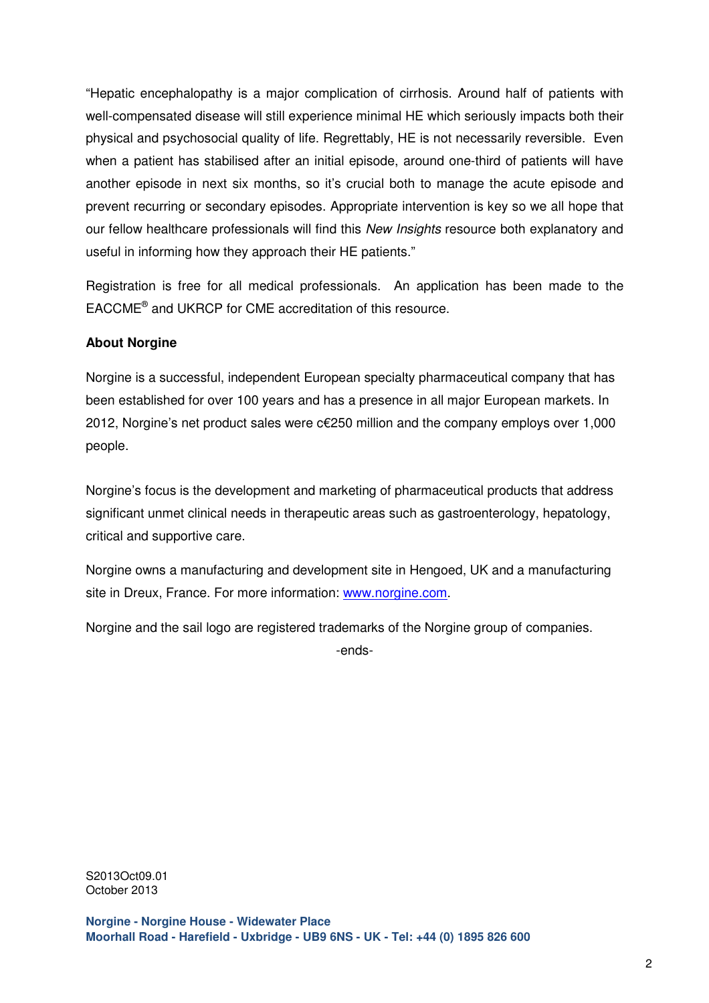"Hepatic encephalopathy is a major complication of cirrhosis. Around half of patients with well-compensated disease will still experience minimal HE which seriously impacts both their physical and psychosocial quality of life. Regrettably, HE is not necessarily reversible. Even when a patient has stabilised after an initial episode, around one-third of patients will have another episode in next six months, so it's crucial both to manage the acute episode and prevent recurring or secondary episodes. Appropriate intervention is key so we all hope that our fellow healthcare professionals will find this New Insights resource both explanatory and useful in informing how they approach their HE patients."

Registration is free for all medical professionals. An application has been made to the EACCME® and UKRCP for CME accreditation of this resource.

## **About Norgine**

Norgine is a successful, independent European specialty pharmaceutical company that has been established for over 100 years and has a presence in all major European markets. In 2012, Norgine's net product sales were c€250 million and the company employs over 1,000 people.

Norgine's focus is the development and marketing of pharmaceutical products that address significant unmet clinical needs in therapeutic areas such as gastroenterology, hepatology, critical and supportive care.

Norgine owns a manufacturing and development site in Hengoed, UK and a manufacturing site in Dreux, France. For more information: www.norgine.com.

Norgine and the sail logo are registered trademarks of the Norgine group of companies. -ends-

S2013Oct09.01 October 2013